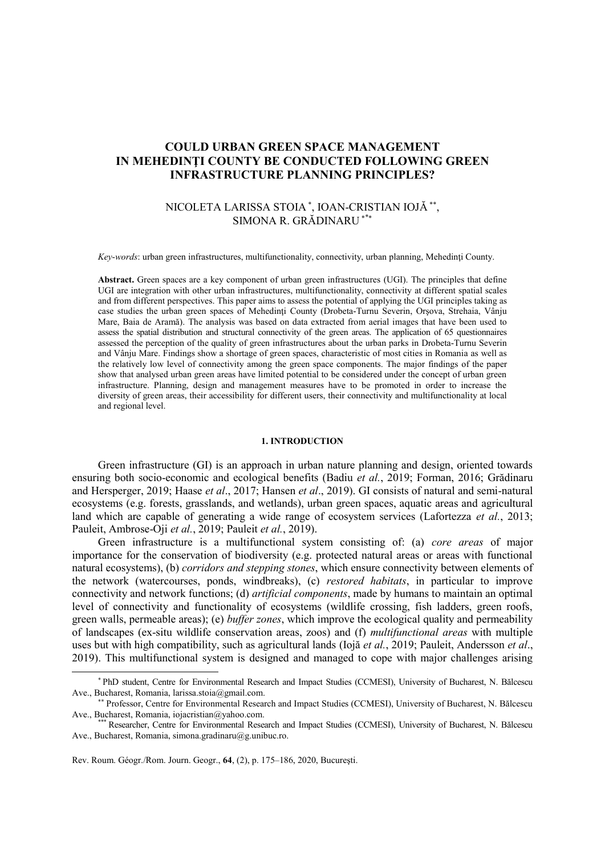# **COULD URBAN GREEN SPACE MANAGEMENT IN MEHEDINŢI COUNTY BE CONDUCTED FOLLOWING GREEN INFRASTRUCTURE PLANNING PRINCIPLES?**

# NICOLETA LARISSA STOIA  $^*$ , IOAN-CRISTIAN IOJĂ $^{**}$ , SIMONA R. GRĂDINARU \*

*Key-words*: urban green infrastructures, multifunctionality, connectivity, urban planning, Mehedinti County.

**Abstract.** Green spaces are a key component of urban green infrastructures (UGI). The principles that define UGI are integration with other urban infrastructures, multifunctionality, connectivity at different spatial scales and from different perspectives. This paper aims to assess the potential of applying the UGI principles taking as case studies the urban green spaces of Mehedinti County (Drobeta-Turnu Severin, Orsova, Strehaia, Vânju Mare, Baia de Aramă). The analysis was based on data extracted from aerial images that have been used to assess the spatial distribution and structural connectivity of the green areas. The application of 65 questionnaires assessed the perception of the quality of green infrastructures about the urban parks in Drobeta-Turnu Severin and Vânju Mare. Findings show a shortage of green spaces, characteristic of most cities in Romania as well as the relatively low level of connectivity among the green space components. The major findings of the paper show that analysed urban green areas have limited potential to be considered under the concept of urban green infrastructure. Planning, design and management measures have to be promoted in order to increase the diversity of green areas, their accessibility for different users, their connectivity and multifunctionality at local and regional level.

# **1. INTRODUCTION**

Green infrastructure (GI) is an approach in urban nature planning and design, oriented towards ensuring both socio-economic and ecological benefits (Badiu *et al.*, 2019; Forman, 2016; Grădinaru and Hersperger, 2019; Haase *et al*., 2017; Hansen *et al*., 2019). GI consists of natural and semi-natural ecosystems (e.g. forests, grasslands, and wetlands), urban green spaces, aquatic areas and agricultural land which are capable of generating a wide range of ecosystem services (Lafortezza *et al.*, 2013; Pauleit, Ambrose-Oji *et al.*, 2019; Pauleit *et al.*, 2019).

Green infrastructure is a multifunctional system consisting of: (a) *core areas* of major importance for the conservation of biodiversity (e.g. protected natural areas or areas with functional natural ecosystems), (b) *corridors and stepping stones*, which ensure connectivity between elements of the network (watercourses, ponds, windbreaks), (c) *restored habitats*, in particular to improve connectivity and network functions; (d) *artificial components*, made by humans to maintain an optimal level of connectivity and functionality of ecosystems (wildlife crossing, fish ladders, green roofs, green walls, permeable areas); (e) *buffer zones*, which improve the ecological quality and permeability of landscapes (ex-situ wildlife conservation areas, zoos) and (f) *multifunctional areas* with multiple uses but with high compatibility, such as agricultural lands (Iojă *et al.*, 2019; Pauleit, Andersson *et al*., 2019). This multifunctional system is designed and managed to cope with major challenges arising

 $\overline{a}$ 

PhD student, Centre for Environmental Research and Impact Studies (CCMESI), University of Bucharest, N. Bălcescu Ave., Bucharest, Romania, [larissa.stoia@gmail.com.](mailto:larissa.stoia@gmail.com)

Professor, Centre for Environmental Research and Impact Studies (CCMESI), University of Bucharest, N. Bălcescu Ave., Bucharest, Romania, [iojacristian@yahoo.com.](mailto:dj.alkama@gmail.com)

<sup>\*\*\*</sup> Researcher, Centre for Environmental Research and Impact Studies (CCMESI), University of Bucharest, N. Bălcescu Ave., Bucharest, Romania, simona.gradinaru@g.unibuc.ro.

Rev. Roum. Géogr./Rom. Journ. Geogr., **64**, (2), p. 175–186, 2020, Bucureşti.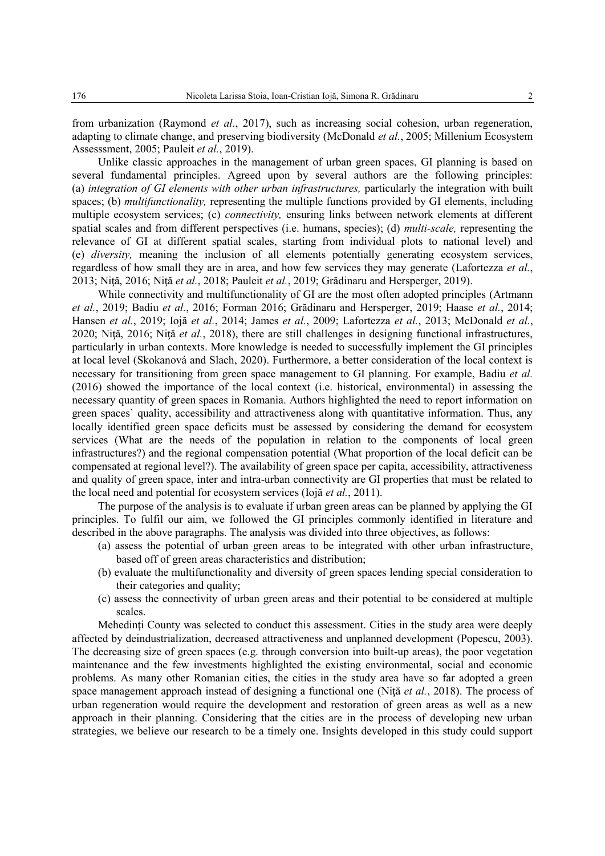from urbanization (Raymond *et al*., 2017), such as increasing social cohesion, urban regeneration, adapting to climate change, and preserving biodiversity (McDonald *et al.*, 2005; Millenium Ecosystem Assesssment, 2005; Pauleit *et al.*, 2019).

Unlike classic approaches in the management of urban green spaces, GI planning is based on several fundamental principles. Agreed upon by several authors are the following principles: (a) *integration of GI elements with other urban infrastructures,* particularly the integration with built spaces; (b) *multifunctionality,* representing the multiple functions provided by GI elements, including multiple ecosystem services; (c) *connectivity,* ensuring links between network elements at different spatial scales and from different perspectives (i.e. humans, species); (d) *multi-scale,* representing the relevance of GI at different spatial scales, starting from individual plots to national level) and (e) *diversity,* meaning the inclusion of all elements potentially generating ecosystem services, regardless of how small they are in area, and how few services they may generate (Lafortezza *et al.*, 2013; Niţă, 2016; Niţă *et al.*, 2018; Pauleit *et al.*, 2019; Grădinaru and Hersperger, 2019).

While connectivity and multifunctionality of GI are the most often adopted principles (Artmann *et al.*, 2019; Badiu *et al.*, 2016; Forman 2016; Grădinaru and Hersperger, 2019; Haase *et al.*, 2014; Hansen *et al.*, 2019; Iojă *et al.*, 2014; James *et al.*, 2009; Lafortezza *et al.*, 2013; McDonald *et al.*, 2020; Niţă, 2016; Niţă *et al.*, 2018), there are still challenges in designing functional infrastructures, particularly in urban contexts. More knowledge is needed to successfully implement the GI principles at local level (Skokanová and Slach, 2020). Furthermore, a better consideration of the local context is necessary for transitioning from green space management to GI planning. For example, Badiu *et al.* (2016) showed the importance of the local context (i.e. historical, environmental) in assessing the necessary quantity of green spaces in Romania. Authors highlighted the need to report information on green spaces` quality, accessibility and attractiveness along with quantitative information. Thus, any locally identified green space deficits must be assessed by considering the demand for ecosystem services (What are the needs of the population in relation to the components of local green infrastructures?) and the regional compensation potential (What proportion of the local deficit can be compensated at regional level?). The availability of green space per capita, accessibility, attractiveness and quality of green space, inter and intra-urban connectivity are GI properties that must be related to the local need and potential for ecosystem services (Iojă *et al.*, 2011).

The purpose of the analysis is to evaluate if urban green areas can be planned by applying the GI principles. To fulfil our aim, we followed the GI principles commonly identified in literature and described in the above paragraphs. The analysis was divided into three objectives, as follows:

- (a) assess the potential of urban green areas to be integrated with other urban infrastructure, based off of green areas characteristics and distribution;
- (b) evaluate the multifunctionality and diversity of green spaces lending special consideration to their categories and quality;
- (c) assess the connectivity of urban green areas and their potential to be considered at multiple scales.

Mehedinti County was selected to conduct this assessment. Cities in the study area were deeply affected by deindustrialization, decreased attractiveness and unplanned development (Popescu, 2003). The decreasing size of green spaces (e.g. through conversion into built-up areas), the poor vegetation maintenance and the few investments highlighted the existing environmental, social and economic problems. As many other Romanian cities, the cities in the study area have so far adopted a green space management approach instead of designing a functional one (Niţă *et al.*, 2018). The process of urban regeneration would require the development and restoration of green areas as well as a new approach in their planning. Considering that the cities are in the process of developing new urban strategies, we believe our research to be a timely one. Insights developed in this study could support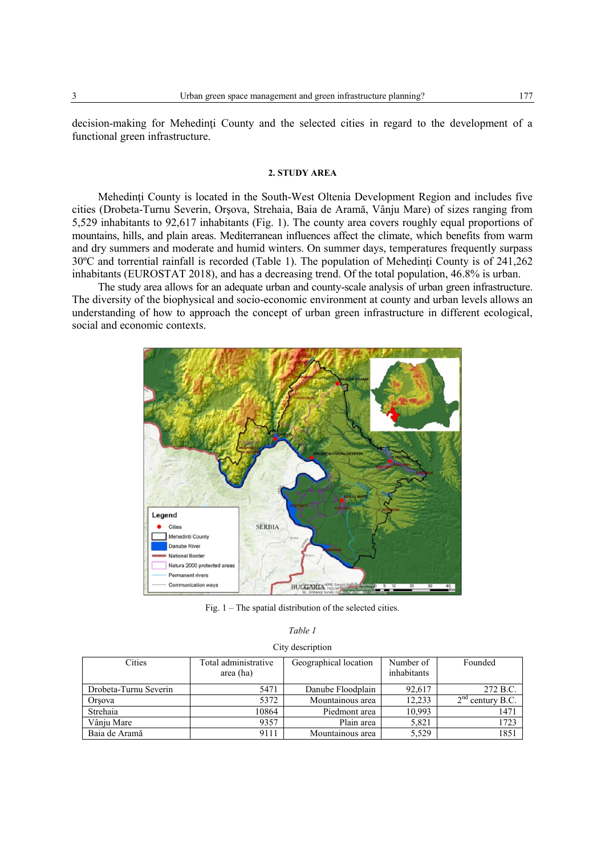decision-making for Mehedinţi County and the selected cities in regard to the development of a functional green infrastructure.

### **2. STUDY AREA**

Mehedinți County is located in the South-West Oltenia Development Region and includes five cities (Drobeta-Turnu Severin, Orşova, Strehaia, Baia de Aramă, Vânju Mare) of sizes ranging from 5,529 inhabitants to 92,617 inhabitants (Fig. 1). The county area covers roughly equal proportions of mountains, hills, and plain areas. Mediterranean influences affect the climate, which benefits from warm and dry summers and moderate and humid winters. On summer days, temperatures frequently surpass 30ºC and torrential rainfall is recorded (Table 1). The population of Mehedinţi County is of 241,262 inhabitants (EUROSTAT 2018), and has a decreasing trend. Of the total population, 46.8% is urban.

The study area allows for an adequate urban and county-scale analysis of urban green infrastructure. The diversity of the biophysical and socio-economic environment at county and urban levels allows an understanding of how to approach the concept of urban green infrastructure in different ecological, social and economic contexts.



Fig. 1 – The spatial distribution of the selected cities.

|--|--|--|

| City description |  |  |  |
|------------------|--|--|--|
|                  |  |  |  |
|                  |  |  |  |

| Cities                | Total administrative<br>area (ha) | Geographical location | Number of<br>inhabitants | Founded            |
|-----------------------|-----------------------------------|-----------------------|--------------------------|--------------------|
| Drobeta-Turnu Severin | 5471                              | Danube Floodplain     | 92,617                   | 272 B.C.           |
| Orsova                | 5372                              | Mountainous area      | 12.233                   | $2nd$ century B.C. |
| Strehaia              | 10864                             | Piedmont area         | 10,993                   | 1471               |
| Vânju Mare            | 9357                              | Plain area            | 5,821                    | 1723               |
| Baia de Aramă         | 9111                              | Mountainous area      | 5,529                    | 1851               |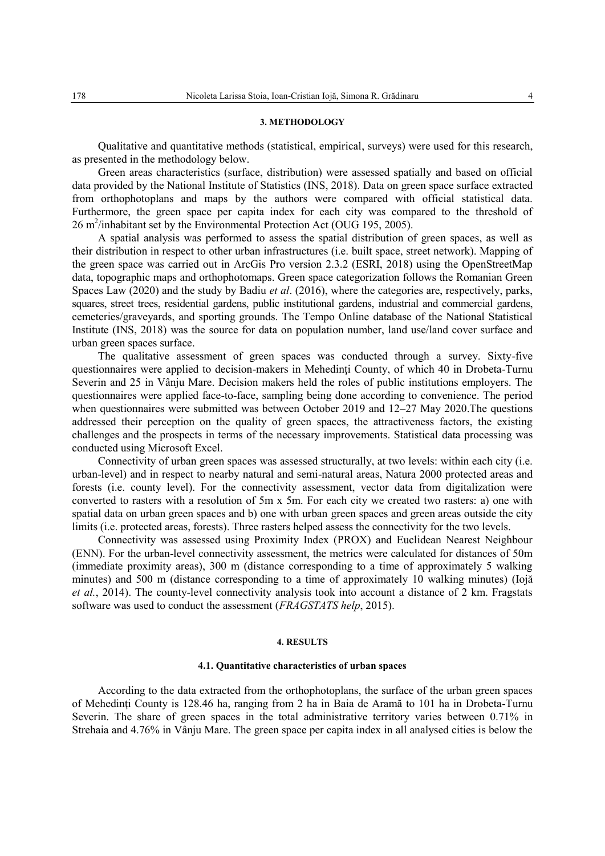### **3. METHODOLOGY**

Qualitative and quantitative methods (statistical, empirical, surveys) were used for this research, as presented in the methodology below.

Green areas characteristics (surface, distribution) were assessed spatially and based on official data provided by the National Institute of Statistics (INS, 2018). Data on green space surface extracted from orthophotoplans and maps by the authors were compared with official statistical data. Furthermore, the green space per capita index for each city was compared to the threshold of  $26 \text{ m}^2$ /inhabitant set by the Environmental Protection Act (OUG 195, 2005).

A spatial analysis was performed to assess the spatial distribution of green spaces, as well as their distribution in respect to other urban infrastructures (i.e. built space, street network). Mapping of the green space was carried out in ArcGis Pro version 2.3.2 (ESRI, 2018) using the OpenStreetMap data, topographic maps and orthophotomaps. Green space categorization follows the Romanian Green Spaces Law (2020) and the study by Badiu *et al*. (2016), where the categories are, respectively, parks, squares, street trees, residential gardens, public institutional gardens, industrial and commercial gardens, cemeteries/graveyards, and sporting grounds. The Tempo Online database of the National Statistical Institute (INS, 2018) was the source for data on population number, land use/land cover surface and urban green spaces surface.

The qualitative assessment of green spaces was conducted through a survey. Sixty-five questionnaires were applied to decision-makers in Mehedinți County, of which 40 in Drobeta-Turnu Severin and 25 in Vânju Mare. Decision makers held the roles of public institutions employers. The questionnaires were applied face-to-face, sampling being done according to convenience. The period when questionnaires were submitted was between October 2019 and 12–27 May 2020.The questions addressed their perception on the quality of green spaces, the attractiveness factors, the existing challenges and the prospects in terms of the necessary improvements. Statistical data processing was conducted using Microsoft Excel.

Connectivity of urban green spaces was assessed structurally, at two levels: within each city (i.e. urban-level) and in respect to nearby natural and semi-natural areas, Natura 2000 protected areas and forests (i.e. county level). For the connectivity assessment, vector data from digitalization were converted to rasters with a resolution of 5m x 5m. For each city we created two rasters: a) one with spatial data on urban green spaces and b) one with urban green spaces and green areas outside the city limits (i.e. protected areas, forests). Three rasters helped assess the connectivity for the two levels.

Connectivity was assessed using Proximity Index (PROX) and Euclidean Nearest Neighbour (ENN). For the urban-level connectivity assessment, the metrics were calculated for distances of 50m (immediate proximity areas), 300 m (distance corresponding to a time of approximately 5 walking minutes) and 500 m (distance corresponding to a time of approximately 10 walking minutes) (Iojă *et al.*, 2014). The county-level connectivity analysis took into account a distance of 2 km. Fragstats software was used to conduct the assessment (*FRAGSTATS help*, 2015).

## **4. RESULTS**

## **4.1. Quantitative characteristics of urban spaces**

According to the data extracted from the orthophotoplans, the surface of the urban green spaces of Mehedinţi County is 128.46 ha, ranging from 2 ha in Baia de Aramă to 101 ha in Drobeta-Turnu Severin. The share of green spaces in the total administrative territory varies between 0.71% in Strehaia and 4.76% in Vânju Mare. The green space per capita index in all analysed cities is below the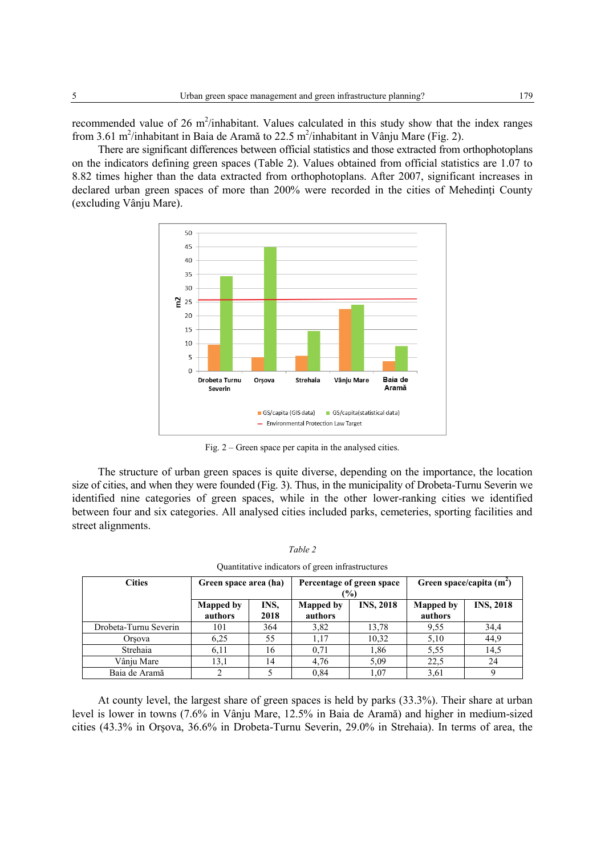recommended value of 26  $m^2$ /inhabitant. Values calculated in this study show that the index ranges from 3.61 m<sup>2</sup>/inhabitant in Baia de Aramă to 22.5 m<sup>2</sup>/inhabitant in Vânju Mare (Fig. 2).

There are significant differences between official statistics and those extracted from orthophotoplans on the indicators defining green spaces (Table 2). Values obtained from official statistics are 1.07 to 8.82 times higher than the data extracted from orthophotoplans. After 2007, significant increases in declared urban green spaces of more than 200% were recorded in the cities of Mehedinți County (excluding Vânju Mare).



Fig. 2 – Green space per capita in the analysed cities.

The structure of urban green spaces is quite diverse, depending on the importance, the location size of cities, and when they were founded (Fig. 3). Thus, in the municipality of Drobeta-Turnu Severin we identified nine categories of green spaces, while in the other lower-ranking cities we identified between four and six categories. All analysed cities included parks, cemeteries, sporting facilities and street alignments.

| I<br>۰. |  |
|---------|--|
|---------|--|

| <b>Cities</b>         | Green space area (ha)       |              |                             | Percentage of green space<br>$\frac{10}{2}$ | Green space/capita $(m^2)$  |                  |  |
|-----------------------|-----------------------------|--------------|-----------------------------|---------------------------------------------|-----------------------------|------------------|--|
|                       | <b>Mapped by</b><br>authors | INS,<br>2018 | <b>Mapped by</b><br>authors | <b>INS, 2018</b>                            | <b>Mapped by</b><br>authors | <b>INS, 2018</b> |  |
| Drobeta-Turnu Severin | 101                         | 364          | 3,82                        | 13.78                                       | 9.55                        | 34,4             |  |
| Orsova                | 6,25                        | 55           | 1,17                        | 10,32                                       | 5,10                        | 44,9             |  |
| Strehaia              | 6,11                        | 16           | 0.71                        | 1,86                                        | 5.55                        | 14,5             |  |
| Vânju Mare            | 13,1                        | 14           | 4.76                        | 5,09                                        | 22.5                        | 24               |  |
| Baia de Aramă         |                             |              | 0.84                        | 1,07                                        | 3,61                        |                  |  |

|  | Quantitative indicators of green infrastructures |
|--|--------------------------------------------------|
|  |                                                  |

At county level, the largest share of green spaces is held by parks (33.3%). Their share at urban level is lower in towns (7.6% in Vânju Mare, 12.5% in Baia de Aramă) and higher in medium-sized cities (43.3% in Orşova, 36.6% in Drobeta-Turnu Severin, 29.0% in Strehaia). In terms of area, the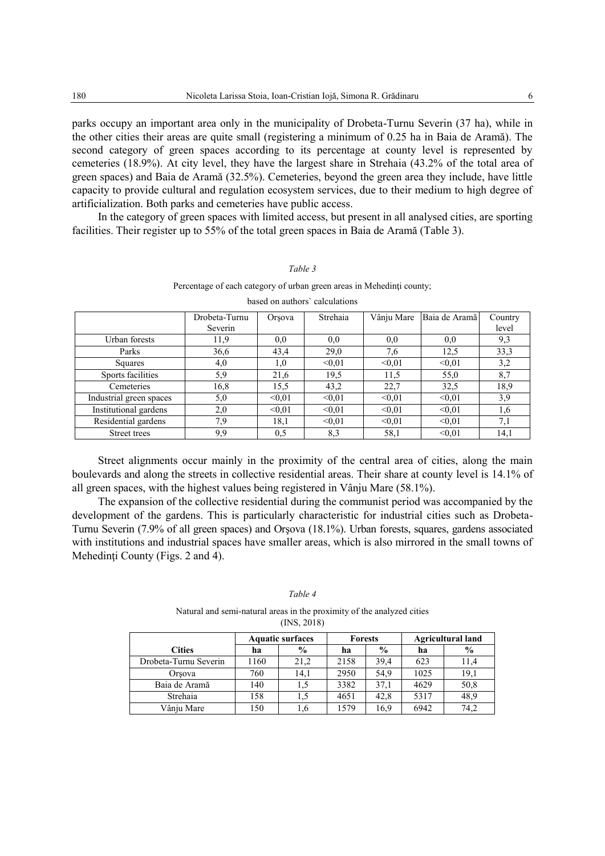parks occupy an important area only in the municipality of Drobeta-Turnu Severin (37 ha), while in the other cities their areas are quite small (registering a minimum of 0.25 ha in Baia de Aramă). The second category of green spaces according to its percentage at county level is represented by cemeteries (18.9%). At city level, they have the largest share in Strehaia (43.2% of the total area of green spaces) and Baia de Aramă (32.5%). Cemeteries, beyond the green area they include, have little capacity to provide cultural and regulation ecosystem services, due to their medium to high degree of artificialization. Both parks and cemeteries have public access.

In the category of green spaces with limited access, but present in all analysed cities, are sporting facilities. Their register up to 55% of the total green spaces in Baia de Aramă (Table 3).

*Table 3*

| Percentage of each category of urban green areas in Mehedinti county; |                                                                               |        |        |        |        |       |  |
|-----------------------------------------------------------------------|-------------------------------------------------------------------------------|--------|--------|--------|--------|-------|--|
| based on authors' calculations                                        |                                                                               |        |        |        |        |       |  |
|                                                                       | Baia de Aramă<br>Vânju Mare<br>Strehaia<br>Drobeta-Turnu<br>Country<br>Orsova |        |        |        |        |       |  |
|                                                                       | Severin                                                                       |        |        |        |        | level |  |
| Urban forests                                                         | 11,9                                                                          | 0,0    | 0.0    | 0.0    | 0.0    | 9,3   |  |
| Parks                                                                 | 36,6                                                                          | 43,4   | 29,0   | 7,6    | 12,5   | 33,3  |  |
| Squares                                                               | 4,0                                                                           | 1,0    | < 0.01 | < 0.01 | < 0.01 | 3,2   |  |
| Sports facilities                                                     | 5,9                                                                           | 21,6   | 19,5   | 11,5   | 55,0   | 8,7   |  |
| Cemeteries                                                            | 16,8                                                                          | 15.5   | 43,2   | 22,7   | 32,5   | 18,9  |  |
| Industrial green spaces                                               | 5,0                                                                           | < 0.01 | < 0.01 | < 0.01 | < 0.01 | 3,9   |  |
| Institutional gardens                                                 | 2,0                                                                           | < 0.01 | < 0.01 | < 0.01 | < 0.01 | 1,6   |  |
| Residential gardens                                                   | 7,9                                                                           | 18,1   | < 0.01 | < 0.01 | < 0.01 | 7,1   |  |
| Street trees                                                          | 9,9                                                                           | 0,5    | 8,3    | 58,1   | < 0.01 | 14,1  |  |

Street alignments occur mainly in the proximity of the central area of cities, along the main boulevards and along the streets in collective residential areas. Their share at county level is 14.1% of all green spaces, with the highest values being registered in Vânju Mare (58.1%).

The expansion of the collective residential during the communist period was accompanied by the development of the gardens. This is particularly characteristic for industrial cities such as Drobeta-Turnu Severin (7.9% of all green spaces) and Orşova (18.1%). Urban forests, squares, gardens associated with institutions and industrial spaces have smaller areas, which is also mirrored in the small towns of Mehedinți County (Figs. 2 and 4).

#### *Table 4*

Natural and semi-natural areas in the proximity of the analyzed cities (INS, 2018)

|                       | <b>Aquatic surfaces</b> |               | <b>Forests</b> |               | <b>Agricultural land</b> |               |
|-----------------------|-------------------------|---------------|----------------|---------------|--------------------------|---------------|
| <b>Cities</b>         | ha                      | $\frac{6}{9}$ | ha             | $\frac{0}{0}$ | ha                       | $\frac{6}{9}$ |
| Drobeta-Turnu Severin | 1160                    | 21,2          | 2158           | 39,4          | 623                      | 11,4          |
| Orsova                | 760                     | 14.1          | 2950           | 54.9          | 1025                     | 19,1          |
| Baia de Aramă         | 140                     |               | 3382           | 37,1          | 4629                     | 50,8          |
| Strehaia              | 158                     |               | 4651           | 42,8          | 5317                     | 48,9          |
| Vânju Mare            | 150                     | 1,6           | 1579           | 16.9          | 6942                     | 74,2          |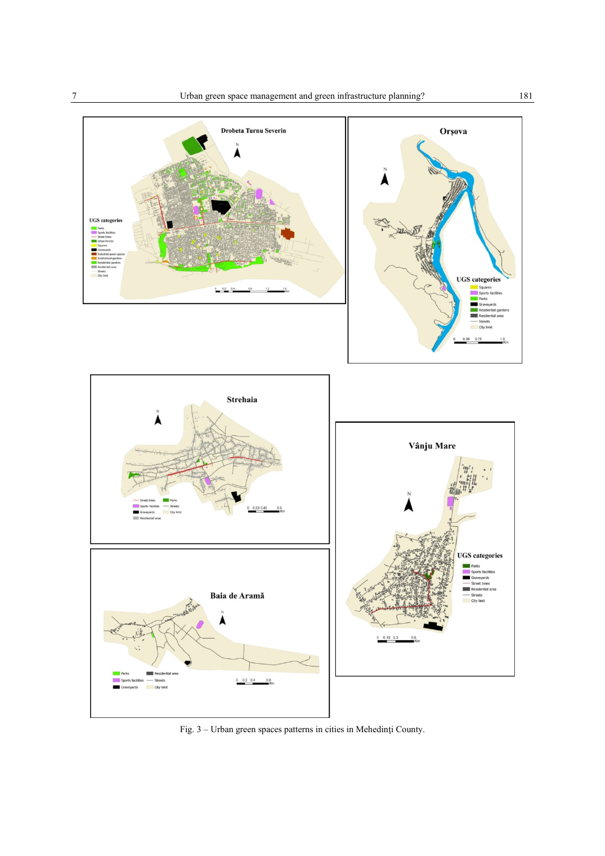

Fig. 3 – Urban green spaces patterns in cities in Mehedinţi County.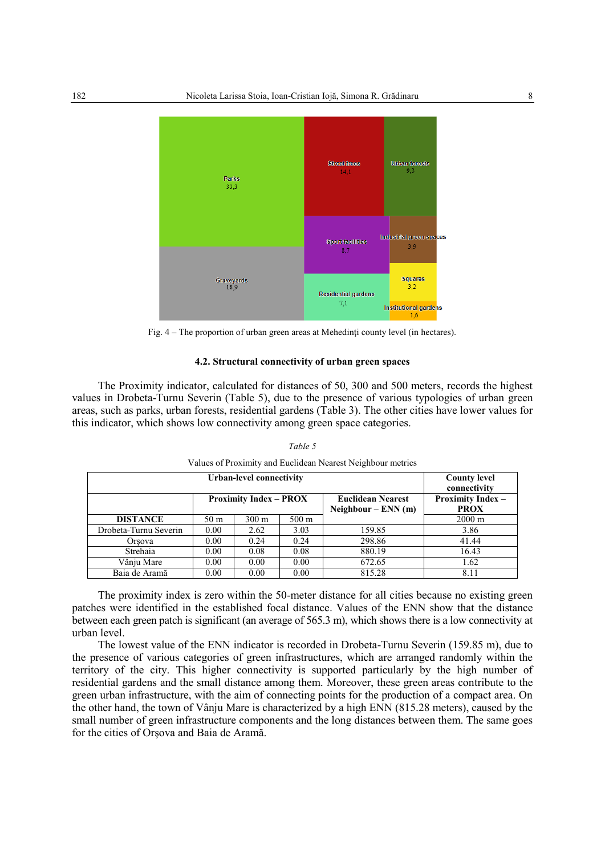

Fig. 4 – The proportion of urban green areas at Mehedinţi county level (in hectares).

# **4.2. Structural connectivity of urban green spaces**

The Proximity indicator, calculated for distances of 50, 300 and 500 meters, records the highest values in Drobeta-Turnu Severin (Table 5), due to the presence of various typologies of urban green areas, such as parks, urban forests, residential gardens (Table 3). The other cities have lower values for this indicator, which shows low connectivity among green space categories.

|                       | <b>County level</b><br>connectivity |                               |                 |                                                   |                                         |
|-----------------------|-------------------------------------|-------------------------------|-----------------|---------------------------------------------------|-----------------------------------------|
|                       |                                     | <b>Proximity Index – PROX</b> |                 | <b>Euclidean Nearest</b><br>$Neighbour$ – ENN (m) | <b>Proximity Index -</b><br><b>PROX</b> |
| <b>DISTANCE</b>       | 50 <sub>m</sub>                     | $300 \text{ m}$               | $500 \text{ m}$ |                                                   | $2000 \text{ m}$                        |
| Drobeta-Turnu Severin | 0.00                                | 2.62                          | 3.03            | 159.85                                            | 3.86                                    |
| Orsova                | 0.00                                | 0.24                          | 0.24            | 298.86                                            | 41.44                                   |
| Strehaia              | 0.00                                | 0.08                          | 0.08            | 880.19                                            | 16.43                                   |
| Vâniu Mare            | 0.00                                | 0.00                          | 0.00            | 672.65                                            | 1.62                                    |
| Baia de Aramă         | 0.00                                | 0.00                          | 0.00            | 815.28                                            | 8.11                                    |

*Table 5*  Values of Proximity and Euclidean Nearest Neighbour metrics

The proximity index is zero within the 50-meter distance for all cities because no existing green patches were identified in the established focal distance. Values of the ENN show that the distance between each green patch is significant (an average of 565.3 m), which shows there is a low connectivity at urban level.

The lowest value of the ENN indicator is recorded in Drobeta-Turnu Severin (159.85 m), due to the presence of various categories of green infrastructures, which are arranged randomly within the territory of the city. This higher connectivity is supported particularly by the high number of residential gardens and the small distance among them. Moreover, these green areas contribute to the green urban infrastructure, with the aim of connecting points for the production of a compact area. On the other hand, the town of Vânju Mare is characterized by a high ENN (815.28 meters), caused by the small number of green infrastructure components and the long distances between them. The same goes for the cities of Orşova and Baia de Aramă.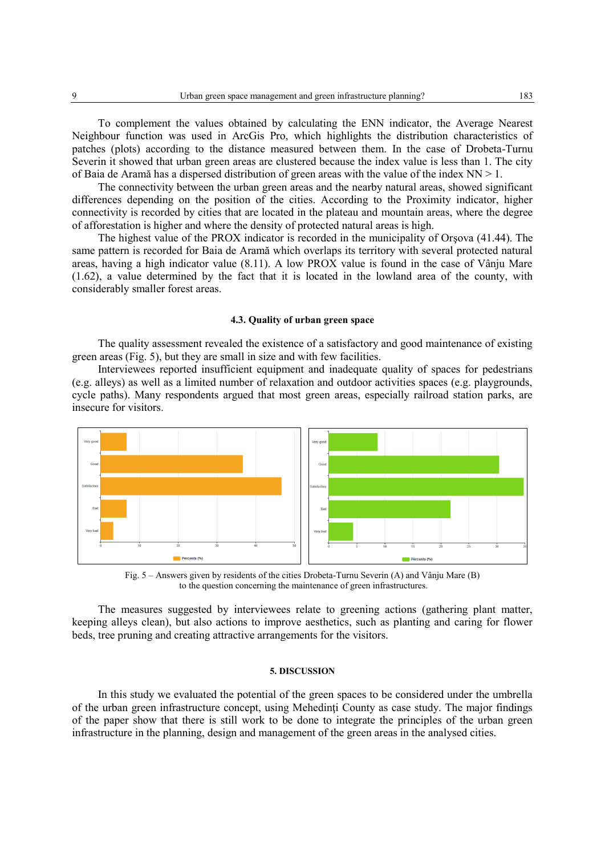To complement the values obtained by calculating the ENN indicator, the Average Nearest Neighbour function was used in ArcGis Pro, which highlights the distribution characteristics of patches (plots) according to the distance measured between them. In the case of Drobeta-Turnu Severin it showed that urban green areas are clustered because the index value is less than 1. The city of Baia de Aramă has a dispersed distribution of green areas with the value of the index NN > 1.

The connectivity between the urban green areas and the nearby natural areas, showed significant differences depending on the position of the cities. According to the Proximity indicator, higher connectivity is recorded by cities that are located in the plateau and mountain areas, where the degree of afforestation is higher and where the density of protected natural areas is high.

The highest value of the PROX indicator is recorded in the municipality of Orşova (41.44). The same pattern is recorded for Baia de Aramă which overlaps its territory with several protected natural areas, having a high indicator value (8.11). A low PROX value is found in the case of Vânju Mare (1.62), a value determined by the fact that it is located in the lowland area of the county, with considerably smaller forest areas.

# **4.3. Quality of urban green space**

The quality assessment revealed the existence of a satisfactory and good maintenance of existing green areas (Fig. 5), but they are small in size and with few facilities.

Interviewees reported insufficient equipment and inadequate quality of spaces for pedestrians (e.g. alleys) as well as a limited number of relaxation and outdoor activities spaces (e.g. playgrounds, cycle paths). Many respondents argued that most green areas, especially railroad station parks, are insecure for visitors.



Fig. 5 – Answers given by residents of the cities Drobeta-Turnu Severin (A) and Vânju Mare (B) to the question concerning the maintenance of green infrastructures.

The measures suggested by interviewees relate to greening actions (gathering plant matter, keeping alleys clean), but also actions to improve aesthetics, such as planting and caring for flower beds, tree pruning and creating attractive arrangements for the visitors.

## **5. DISCUSSION**

In this study we evaluated the potential of the green spaces to be considered under the umbrella of the urban green infrastructure concept, using Mehedinti County as case study. The major findings of the paper show that there is still work to be done to integrate the principles of the urban green infrastructure in the planning, design and management of the green areas in the analysed cities.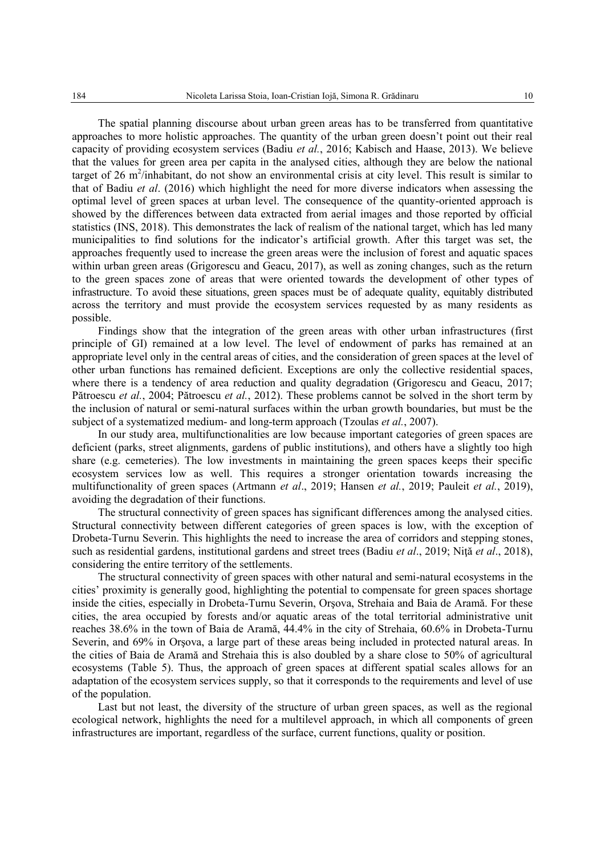The spatial planning discourse about urban green areas has to be transferred from quantitative approaches to more holistic approaches. The quantity of the urban green doesn't point out their real capacity of providing ecosystem services (Badiu *et al.*, 2016; Kabisch and Haase, 2013). We believe that the values for green area per capita in the analysed cities, although they are below the national target of 26 m<sup>2</sup>/inhabitant, do not show an environmental crisis at city level. This result is similar to that of Badiu *et al*. (2016) which highlight the need for more diverse indicators when assessing the optimal level of green spaces at urban level. The consequence of the quantity-oriented approach is showed by the differences between data extracted from aerial images and those reported by official statistics (INS, 2018). This demonstrates the lack of realism of the national target, which has led many municipalities to find solutions for the indicator's artificial growth. After this target was set, the approaches frequently used to increase the green areas were the inclusion of forest and aquatic spaces within urban green areas (Grigorescu and Geacu, 2017), as well as zoning changes, such as the return to the green spaces zone of areas that were oriented towards the development of other types of infrastructure. To avoid these situations, green spaces must be of adequate quality, equitably distributed across the territory and must provide the ecosystem services requested by as many residents as possible.

Findings show that the integration of the green areas with other urban infrastructures (first principle of GI) remained at a low level. The level of endowment of parks has remained at an appropriate level only in the central areas of cities, and the consideration of green spaces at the level of other urban functions has remained deficient. Exceptions are only the collective residential spaces, where there is a tendency of area reduction and quality degradation (Grigorescu and Geacu, 2017; Pătroescu *et al.*, 2004; Pătroescu *et al.*, 2012). These problems cannot be solved in the short term by the inclusion of natural or semi-natural surfaces within the urban growth boundaries, but must be the subject of a systematized medium- and long-term approach (Tzoulas *et al.*, 2007).

In our study area, multifunctionalities are low because important categories of green spaces are deficient (parks, street alignments, gardens of public institutions), and others have a slightly too high share (e.g. cemeteries). The low investments in maintaining the green spaces keeps their specific ecosystem services low as well. This requires a stronger orientation towards increasing the multifunctionality of green spaces (Artmann *et al*., 2019; Hansen *et al.*, 2019; Pauleit *et al.*, 2019), avoiding the degradation of their functions.

The structural connectivity of green spaces has significant differences among the analysed cities. Structural connectivity between different categories of green spaces is low, with the exception of Drobeta-Turnu Severin. This highlights the need to increase the area of corridors and stepping stones, such as residential gardens, institutional gardens and street trees (Badiu *et al*., 2019; Niţă *et al*., 2018), considering the entire territory of the settlements.

The structural connectivity of green spaces with other natural and semi-natural ecosystems in the cities' proximity is generally good, highlighting the potential to compensate for green spaces shortage inside the cities, especially in Drobeta-Turnu Severin, Orşova, Strehaia and Baia de Aramă. For these cities, the area occupied by forests and/or aquatic areas of the total territorial administrative unit reaches 38.6% in the town of Baia de Aramă, 44.4% in the city of Strehaia, 60.6% in Drobeta-Turnu Severin, and 69% in Orşova, a large part of these areas being included in protected natural areas. In the cities of Baia de Aramă and Strehaia this is also doubled by a share close to 50% of agricultural ecosystems (Table 5). Thus, the approach of green spaces at different spatial scales allows for an adaptation of the ecosystem services supply, so that it corresponds to the requirements and level of use of the population.

Last but not least, the diversity of the structure of urban green spaces, as well as the regional ecological network, highlights the need for a multilevel approach, in which all components of green infrastructures are important, regardless of the surface, current functions, quality or position.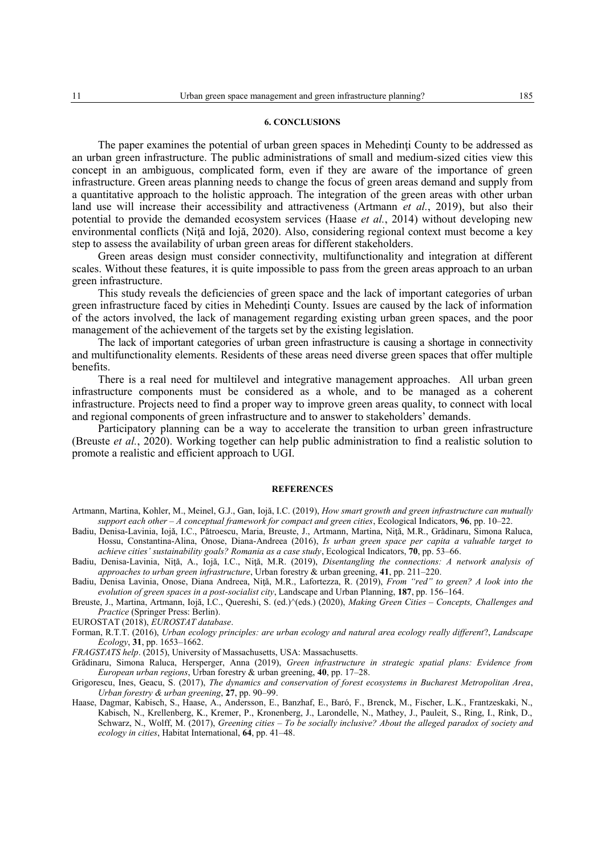#### **6. CONCLUSIONS**

The paper examines the potential of urban green spaces in Mehedinti County to be addressed as an urban green infrastructure. The public administrations of small and medium-sized cities view this concept in an ambiguous, complicated form, even if they are aware of the importance of green infrastructure. Green areas planning needs to change the focus of green areas demand and supply from a quantitative approach to the holistic approach. The integration of the green areas with other urban land use will increase their accessibility and attractiveness (Artmann *et al.*, 2019), but also their potential to provide the demanded ecosystem services (Haase *et al.*, 2014) without developing new environmental conflicts (Niţă and Iojă, 2020). Also, considering regional context must become a key step to assess the availability of urban green areas for different stakeholders.

Green areas design must consider connectivity, multifunctionality and integration at different scales. Without these features, it is quite impossible to pass from the green areas approach to an urban green infrastructure.

This study reveals the deficiencies of green space and the lack of important categories of urban green infrastructure faced by cities in Mehedinţi County. Issues are caused by the lack of information of the actors involved, the lack of management regarding existing urban green spaces, and the poor management of the achievement of the targets set by the existing legislation.

The lack of important categories of urban green infrastructure is causing a shortage in connectivity and multifunctionality elements. Residents of these areas need diverse green spaces that offer multiple benefits.

There is a real need for multilevel and integrative management approaches. All urban green infrastructure components must be considered as a whole, and to be managed as a coherent infrastructure. Projects need to find a proper way to improve green areas quality, to connect with local and regional components of green infrastructure and to answer to stakeholders' demands.

Participatory planning can be a way to accelerate the transition to urban green infrastructure (Breuste *et al.*, 2020). Working together can help public administration to find a realistic solution to promote a realistic and efficient approach to UGI.

#### **REFERENCES**

- Badiu, Denisa-Lavinia, Iojă, I.C., Pătroescu, Maria, Breuste, J., Artmann, Martina, Niţă, M.R., Grădinaru, Simona Raluca, Hossu, Constantina-Alina, Onose, Diana-Andreea (2016), *Is urban green space per capita a valuable target to achieve cities' sustainability goals? Romania as a case study*, Ecological Indicators, **70**, pp. 53–66.
- Badiu, Denisa-Lavinia, Niţă, A., Iojă, I.C., Niţă, M.R. (2019), *Disentangling the connections: A network analysis of approaches to urban green infrastructure*, Urban forestry & urban greening, **41**, pp. 211–220.
- Badiu, Denisa Lavinia, Onose, Diana Andreea, Niţă, M.R., Lafortezza, R. (2019), *From "red" to green? A look into the evolution of green spaces in a post-socialist city*, Landscape and Urban Planning, **187**, pp. 156–164.
- Breuste, J., Martina, Artmann, Iojă, I.C., Quereshi, S. (ed.)^(eds.) (2020), *Making Green Cities – Concepts, Challenges and Practice* (Springer Press: Berlin).
- EUROSTAT (2018), *EUROSTAT database*.
- Forman, R.T.T. (2016), *Urban ecology principles: are urban ecology and natural area ecology really different*?, *Landscape Ecology*, **31**, pp. 1653–1662.
- *FRAGSTATS help*. (2015), University of Massachusetts, USA: Massachusetts.
- Grădinaru, Simona Raluca, Hersperger, Anna (2019), *Green infrastructure in strategic spatial plans: Evidence from European urban regions*, Urban forestry & urban greening, **40**, pp. 17–28.
- Grigorescu, Ines, Geacu, S. (2017), *The dynamics and conservation of forest ecosystems in Bucharest Metropolitan Area*, *Urban forestry & urban greening*, **27**, pp. 90–99.
- Haase, Dagmar, Kabisch, S., Haase, A., Andersson, E., Banzhaf, E., Baró, F., Brenck, M., Fischer, L.K., Frantzeskaki, N., Kabisch, N., Krellenberg, K., Kremer, P., Kronenberg, J., Larondelle, N., Mathey, J., Pauleit, S., Ring, I., Rink, D., Schwarz, N., Wolff, M. (2017), *Greening cities – To be socially inclusive? About the alleged paradox of society and ecology in cities*, Habitat International, **64**, pp. 41–48.

Artmann, Martina, Kohler, M., Meinel, G.J., Gan, Iojă, I.C. (2019), *How smart growth and green infrastructure can mutually support each other – A conceptual framework for compact and green cities*, Ecological Indicators, **96**, pp. 10–22.